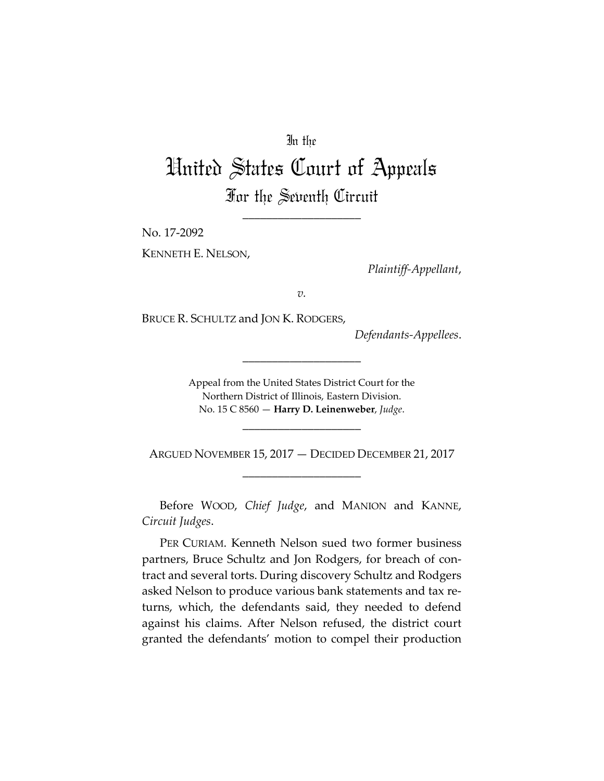## In the

## United States Court of Appeals For the Seventh Circuit

\_\_\_\_\_\_\_\_\_\_\_\_\_\_\_\_\_\_\_\_

No. 17‐2092

KENNETH E. NELSON,

*Plaintiff‐Appellant*,

*v.*

BRUCE R. SCHULTZ and JON K. RODGERS,

*Defendants‐Appellees*.

Appeal from the United States District Court for the Northern District of Illinois, Eastern Division. No. 15 C 8560 — **Harry D. Leinenweber**, *Judge*.

\_\_\_\_\_\_\_\_\_\_\_\_\_\_\_\_\_\_\_\_

\_\_\_\_\_\_\_\_\_\_\_\_\_\_\_\_\_\_\_\_

ARGUED NOVEMBER 15, 2017 — DECIDED DECEMBER 21, 2017 \_\_\_\_\_\_\_\_\_\_\_\_\_\_\_\_\_\_\_\_

Before WOOD, *Chief Judge*, and MANION and KANNE, *Circuit Judges*.

PER CURIAM. Kenneth Nelson sued two former business partners, Bruce Schultz and Jon Rodgers, for breach of contract and several torts. During discovery Schultz and Rodgers asked Nelson to produce various bank statements and tax re‐ turns, which, the defendants said, they needed to defend against his claims. After Nelson refused, the district court granted the defendants' motion to compel their production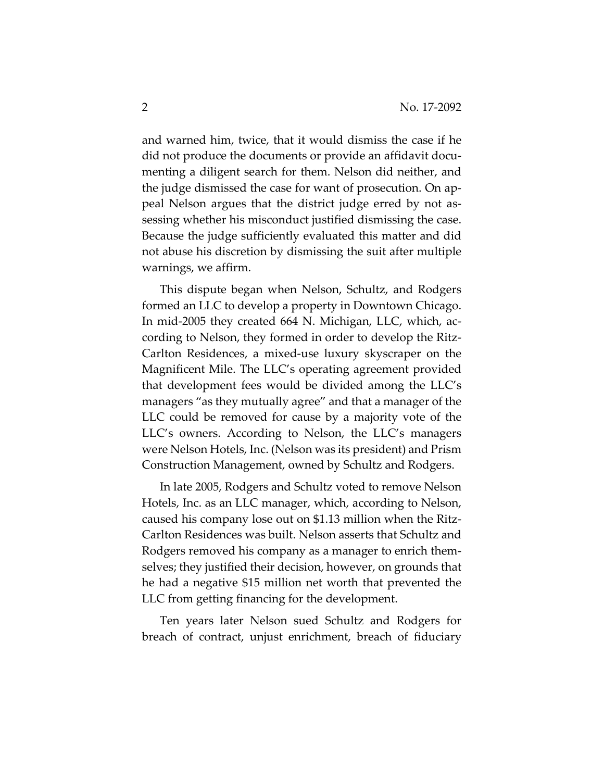and warned him, twice, that it would dismiss the case if he did not produce the documents or provide an affidavit docu‐ menting a diligent search for them. Nelson did neither, and the judge dismissed the case for want of prosecution. On ap‐ peal Nelson argues that the district judge erred by not as‐ sessing whether his misconduct justified dismissing the case. Because the judge sufficiently evaluated this matter and did not abuse his discretion by dismissing the suit after multiple warnings, we affirm.

This dispute began when Nelson, Schultz, and Rodgers formed an LLC to develop a property in Downtown Chicago. In mid-2005 they created 664 N. Michigan, LLC, which, according to Nelson, they formed in order to develop the Ritz‐ Carlton Residences, a mixed‐use luxury skyscraper on the Magnificent Mile. The LLC's operating agreement provided that development fees would be divided among the LLC's managers "as they mutually agree" and that a manager of the LLC could be removed for cause by a majority vote of the LLC's owners. According to Nelson, the LLC's managers were Nelson Hotels, Inc. (Nelson was its president) and Prism Construction Management, owned by Schultz and Rodgers.

In late 2005, Rodgers and Schultz voted to remove Nelson Hotels, Inc. as an LLC manager, which, according to Nelson, caused his company lose out on \$1.13 million when the Ritz‐ Carlton Residences was built. Nelson asserts that Schultz and Rodgers removed his company as a manager to enrich them‐ selves; they justified their decision, however, on grounds that he had a negative \$15 million net worth that prevented the LLC from getting financing for the development.

Ten years later Nelson sued Schultz and Rodgers for breach of contract, unjust enrichment, breach of fiduciary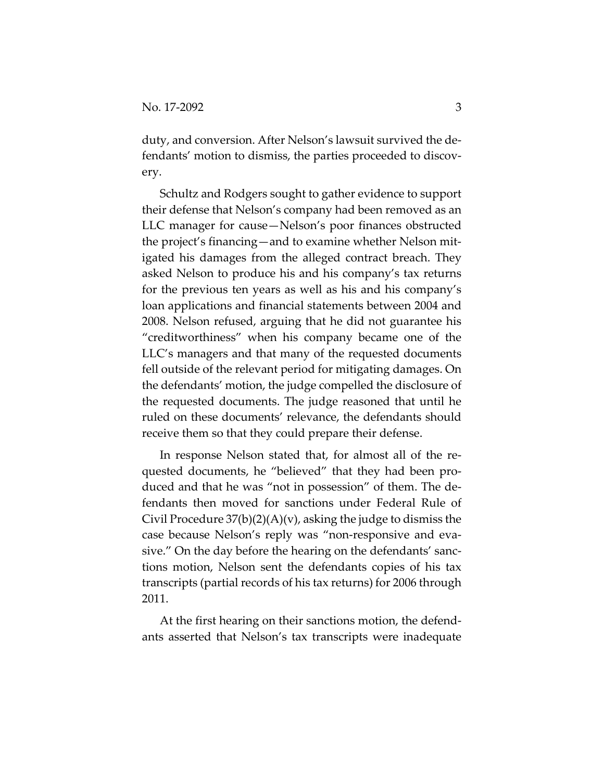duty, and conversion. After Nelson's lawsuit survived the de‐ fendants' motion to dismiss, the parties proceeded to discovery.

Schultz and Rodgers sought to gather evidence to support their defense that Nelson's company had been removed as an LLC manager for cause—Nelson's poor finances obstructed the project's financing—and to examine whether Nelson mit‐ igated his damages from the alleged contract breach. They asked Nelson to produce his and his company's tax returns for the previous ten years as well as his and his company's loan applications and financial statements between 2004 and 2008. Nelson refused, arguing that he did not guarantee his "creditworthiness" when his company became one of the LLC's managers and that many of the requested documents fell outside of the relevant period for mitigating damages. On the defendants' motion, the judge compelled the disclosure of the requested documents. The judge reasoned that until he ruled on these documents' relevance, the defendants should receive them so that they could prepare their defense.

In response Nelson stated that, for almost all of the re‐ quested documents, he "believed" that they had been pro‐ duced and that he was "not in possession" of them. The de‐ fendants then moved for sanctions under Federal Rule of Civil Procedure  $37(b)(2)(A)(v)$ , asking the judge to dismiss the case because Nelson's reply was "non‐responsive and eva‐ sive." On the day before the hearing on the defendants' sanc‐ tions motion, Nelson sent the defendants copies of his tax transcripts (partial records of his tax returns) for 2006 through 2011.

At the first hearing on their sanctions motion, the defend‐ ants asserted that Nelson's tax transcripts were inadequate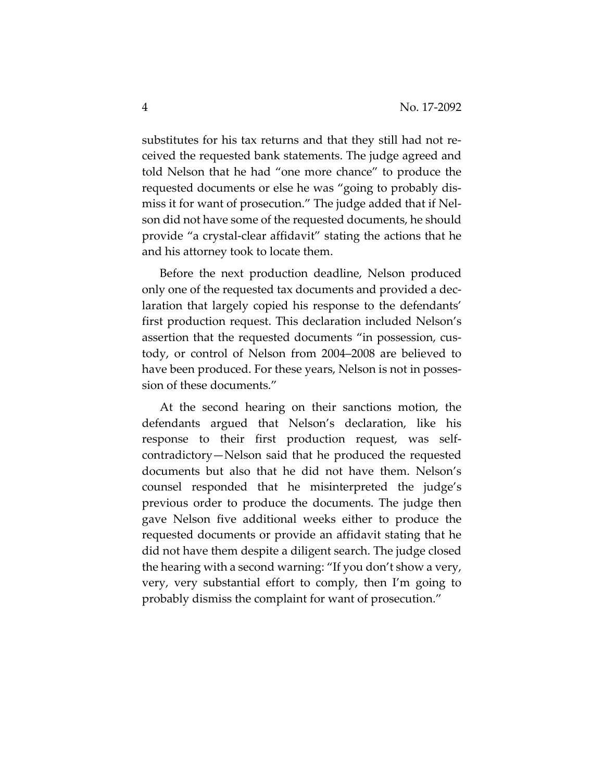substitutes for his tax returns and that they still had not received the requested bank statements. The judge agreed and told Nelson that he had "one more chance" to produce the requested documents or else he was "going to probably dis‐ miss it for want of prosecution." The judge added that if Nel‐ son did not have some of the requested documents, he should provide "a crystal‐clear affidavit" stating the actions that he and his attorney took to locate them.

Before the next production deadline, Nelson produced only one of the requested tax documents and provided a dec‐ laration that largely copied his response to the defendants' first production request. This declaration included Nelson's assertion that the requested documents "in possession, cus‐ tody, or control of Nelson from 2004–2008 are believed to have been produced. For these years, Nelson is not in posses‐ sion of these documents."

At the second hearing on their sanctions motion, the defendants argued that Nelson's declaration, like his response to their first production request, was self‐ contradictory—Nelson said that he produced the requested documents but also that he did not have them. Nelson's counsel responded that he misinterpreted the judge's previous order to produce the documents. The judge then gave Nelson five additional weeks either to produce the requested documents or provide an affidavit stating that he did not have them despite a diligent search. The judge closed the hearing with a second warning: "If you don't show a very, very, very substantial effort to comply, then I'm going to probably dismiss the complaint for want of prosecution."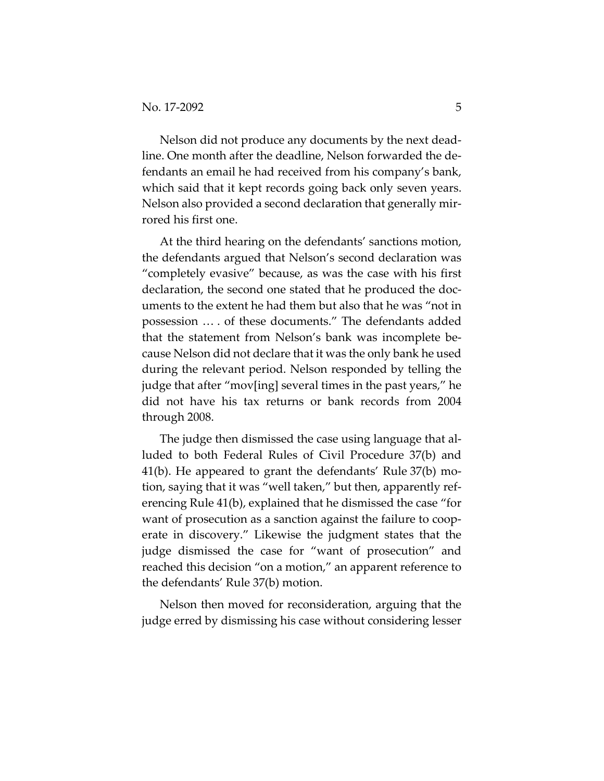Nelson did not produce any documents by the next dead‐ line. One month after the deadline, Nelson forwarded the de‐ fendants an email he had received from his company's bank, which said that it kept records going back only seven years. Nelson also provided a second declaration that generally mir‐ rored his first one.

At the third hearing on the defendants' sanctions motion, the defendants argued that Nelson's second declaration was "completely evasive" because, as was the case with his first declaration, the second one stated that he produced the doc‐ uments to the extent he had them but also that he was "not in possession … . of these documents." The defendants added that the statement from Nelson's bank was incomplete be‐ cause Nelson did not declare that it was the only bank he used during the relevant period. Nelson responded by telling the judge that after "mov[ing] several times in the past years," he did not have his tax returns or bank records from 2004 through 2008.

The judge then dismissed the case using language that al‐ luded to both Federal Rules of Civil Procedure 37(b) and 41(b). He appeared to grant the defendants' Rule 37(b) mo‐ tion, saying that it was "well taken," but then, apparently ref‐ erencing Rule 41(b), explained that he dismissed the case "for want of prosecution as a sanction against the failure to cooperate in discovery." Likewise the judgment states that the judge dismissed the case for "want of prosecution" and reached this decision "on a motion," an apparent reference to the defendants' Rule 37(b) motion.

Nelson then moved for reconsideration, arguing that the judge erred by dismissing his case without considering lesser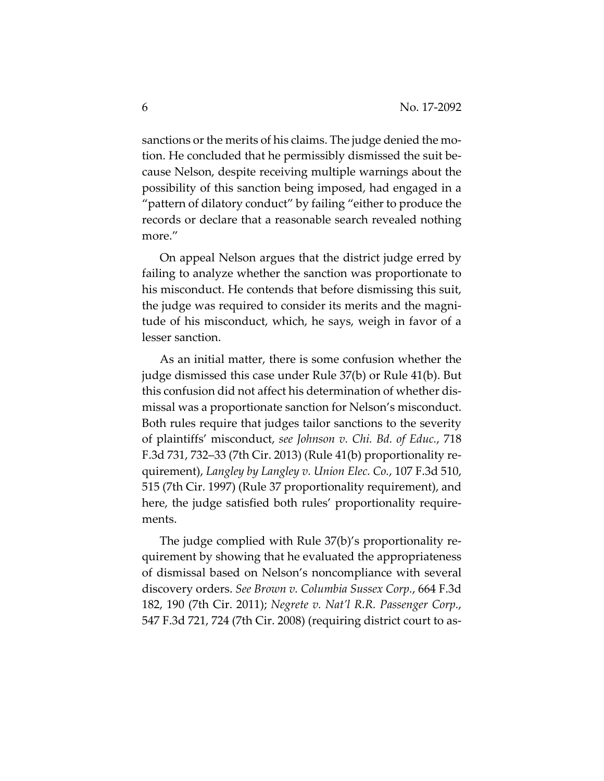sanctions or the merits of his claims. The judge denied the motion. He concluded that he permissibly dismissed the suit be‐ cause Nelson, despite receiving multiple warnings about the possibility of this sanction being imposed, had engaged in a "pattern of dilatory conduct" by failing "either to produce the records or declare that a reasonable search revealed nothing more."

On appeal Nelson argues that the district judge erred by failing to analyze whether the sanction was proportionate to his misconduct. He contends that before dismissing this suit, the judge was required to consider its merits and the magni‐ tude of his misconduct, which, he says, weigh in favor of a lesser sanction.

As an initial matter, there is some confusion whether the judge dismissed this case under Rule 37(b) or Rule 41(b). But this confusion did not affect his determination of whether dis‐ missal was a proportionate sanction for Nelson's misconduct. Both rules require that judges tailor sanctions to the severity of plaintiffs' misconduct, *see Johnson v. Chi. Bd. of Educ.*, 718 F.3d 731, 732–33 (7th Cir. 2013) (Rule 41(b) proportionality re‐ quirement), *Langley by Langley v. Union Elec. Co.*, 107 F.3d 510, 515 (7th Cir. 1997) (Rule 37 proportionality requirement), and here, the judge satisfied both rules' proportionality requirements.

The judge complied with Rule 37(b)'s proportionality re‐ quirement by showing that he evaluated the appropriateness of dismissal based on Nelson's noncompliance with several discovery orders. *See Brown v. Columbia Sussex Corp.*, 664 F.3d 182, 190 (7th Cir. 2011); *Negrete v. Nat'l R.R. Passenger Corp.*, 547 F.3d 721, 724 (7th Cir. 2008) (requiring district court to as‐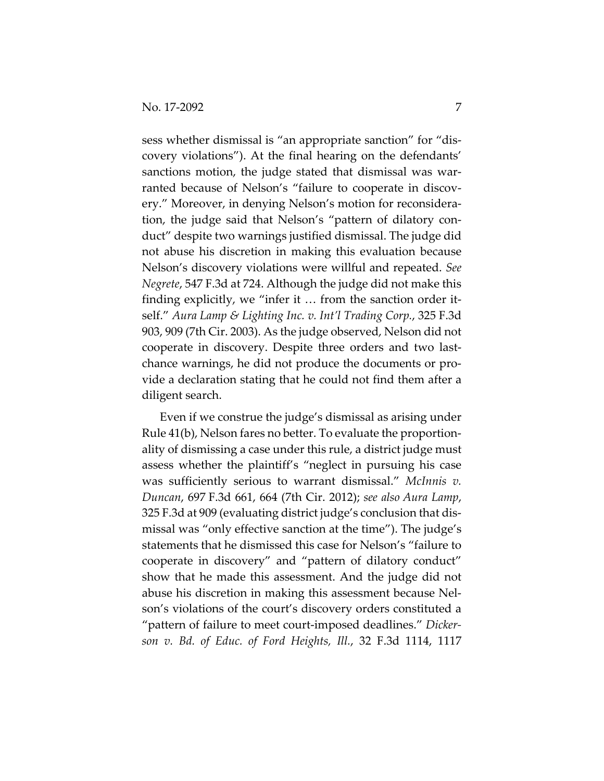sess whether dismissal is "an appropriate sanction" for "dis‐ covery violations"). At the final hearing on the defendants' sanctions motion, the judge stated that dismissal was warranted because of Nelson's "failure to cooperate in discovery." Moreover, in denying Nelson's motion for reconsidera‐ tion, the judge said that Nelson's "pattern of dilatory con‐ duct" despite two warnings justified dismissal. The judge did not abuse his discretion in making this evaluation because Nelson's discovery violations were willful and repeated. *See Negrete*, 547 F.3d at 724. Although the judge did not make this finding explicitly, we "infer it ... from the sanction order itself." *Aura Lamp & Lighting Inc. v. Int'l Trading Corp.*, 325 F.3d 903, 909 (7th Cir. 2003). As the judge observed, Nelson did not cooperate in discovery. Despite three orders and two last‐ chance warnings, he did not produce the documents or pro‐ vide a declaration stating that he could not find them after a diligent search.

Even if we construe the judge's dismissal as arising under Rule 41(b), Nelson fares no better. To evaluate the proportion‐ ality of dismissing a case under this rule, a district judge must assess whether the plaintiff's "neglect in pursuing his case was sufficiently serious to warrant dismissal." *McInnis v. Duncan*, 697 F.3d 661, 664 (7th Cir. 2012); *see also Aura Lamp*, 325 F.3d at 909 (evaluating district judge's conclusion that dis‐ missal was "only effective sanction at the time"). The judge's statements that he dismissed this case for Nelson's "failure to cooperate in discovery" and "pattern of dilatory conduct" show that he made this assessment. And the judge did not abuse his discretion in making this assessment because Nel‐ son's violations of the court's discovery orders constituted a "pattern of failure to meet court‐imposed deadlines." *Dicker‐ son v. Bd. of Educ. of Ford Heights, Ill.*, 32 F.3d 1114, 1117